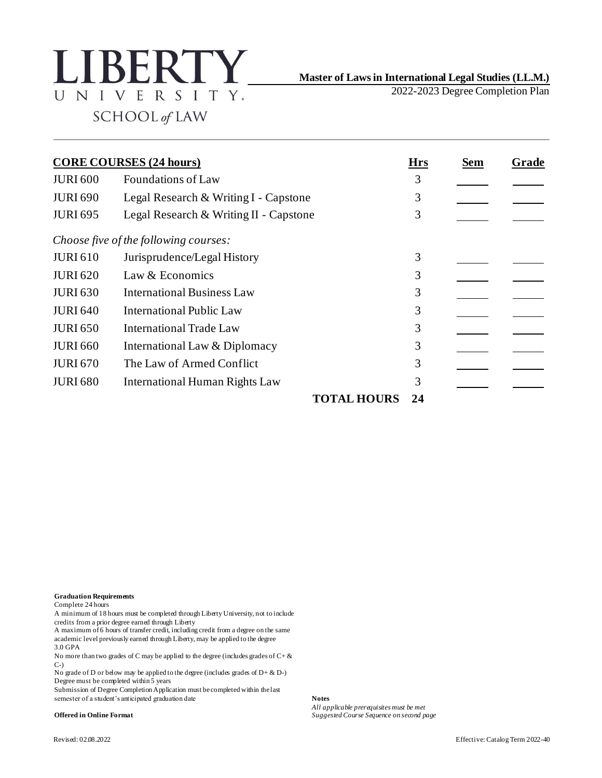

## **Master of Laws in International Legal Studies (LL.M.)**

2022-2023 Degree Completion Plan

**CORE COURSES (24 hours) Hrs Sem Grade** JURI 600 Foundations of Law 3 JURI 690 Legal Research & Writing I - Capstone 3 JURI 695 Legal Research & Writing II - Capstone 3 *Choose five of the following courses:* JURI 610 Jurisprudence/Legal History 3 JURI 620 Law & Economics 3 JURI 630 International Business Law 3 JURI 640 International Public Law 3 JURI 650 International Trade Law 3 JURI 660 International Law & Diplomacy 3 JURI 670 The Law of Armed Conflict 3 JURI 680 International Human Rights Law 3 **TOTAL HOURS 24**

## **Graduation Requirements**

Complete 24 hours

A minimum of 18 hours must be completed through Liberty University, not to include credits from a prior degree earned through Liberty

A maximum of 6 hours of transfer credit, including credit from a degree on the same academic level previously earned through Liberty, may be applied to the degree 3.0 GPA

No more than two grades of C may be applied to the degree (includes grades of  $C + \&$  $C-$ 

No grade of D or below may be applied to the degree (includes grades of  $D + \& D$ -) Degree must be completed within 5 years

Submission of Degree Completion Application must be completed within the last semester of a student's anticipated graduation date **Notes**

*All applicable prerequisites must be met* **Offered in Online Format** *Suggested Course Sequence on second page*